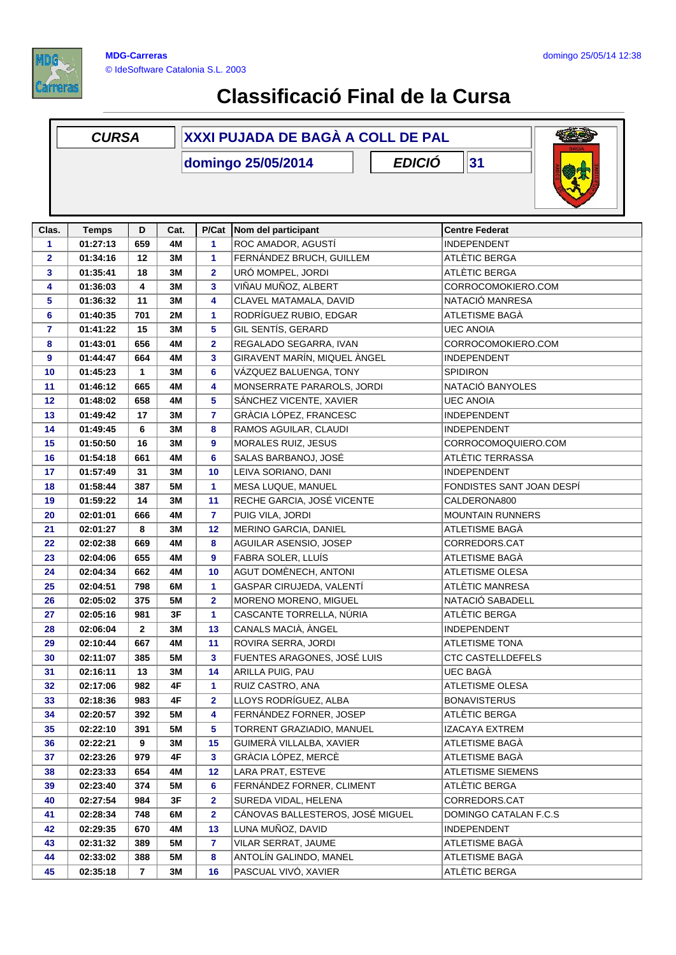

## **Classificació Final de la Cursa**

| 31<br><b>EDICIÓ</b><br>domingo 25/05/2014<br>Nom del participant<br>Clas.<br>D<br>Cat.<br><b>Centre Federat</b><br><b>Temps</b><br>P/Cat<br>$\mathbf{1}$<br>01:27:13<br>659<br>4M<br>1<br>ROC AMADOR, AGUSTÍ<br><b>INDEPENDENT</b><br>FERNÁNDEZ BRUCH, GUILLEM<br>12<br>ATLÈTIC BERGA<br>2<br>01:34:16<br>3M<br>1<br>URÓ MOMPEL, JORDI<br>3<br>2<br>ATLÈTIC BERGA<br>01:35:41<br>18<br>3M<br>VIÑAU MUÑOZ, ALBERT<br>4<br>01:36:03<br>3M<br>3<br>CORROCOMOKIERO.COM<br>4<br>CLAVEL MATAMALA, DAVID<br>NATACIÓ MANRESA<br>5<br>01:36:32<br>11<br>3M<br>4<br>RODRÍGUEZ RUBIO, EDGAR<br>01:40:35<br>701<br>2M<br>1<br>ATLETISME BAGA<br>6<br>GIL SENTÍS, GERARD<br>5<br><b>UEC ANOIA</b><br>$\overline{7}$<br>01:41:22<br>15<br>3M<br>$\overline{\mathbf{2}}$<br>REGALADO SEGARRA, IVAN<br>CORROCOMOKIERO.COM<br>656<br>8<br>01:43:01<br>4M<br>GIRAVENT MARÍN, MIQUEL ÀNGEL<br>3<br>9<br>664<br>4M<br><b>INDEPENDENT</b><br>01:44:47<br>6<br>VÁZQUEZ BALUENGA, TONY<br>10<br>01:45:23<br>$\mathbf{1}$<br>3M<br><b>SPIDIRON</b><br>NATACIÓ BANYOLES<br>01:46:12<br>665<br>4M<br>4<br>MONSERRATE PARAROLS, JORDI<br>11<br>12<br>01:48:02<br>658<br>4M<br>5<br>SÁNCHEZ VICENTE, XAVIER<br><b>UEC ANOIA</b><br>GRÀCIA LÓPEZ, FRANCESC<br>17<br>3M<br>7<br><b>INDEPENDENT</b><br>13<br>01:49:42<br>3M<br>RAMOS AGUILAR, CLAUDI<br>14<br>01:49:45<br>6<br>8<br><b>INDEPENDENT</b><br>01:50:50<br>16<br>3M<br>9<br>MORALES RUIZ, JESUS<br>CORROCOMOQUIERO.COM<br>15<br>ATLÈTIC TERRASSA<br>01:54:18<br>661<br>4M<br>6<br>SALAS BARBANOJ, JOSÉ<br>16<br>01:57:49<br>31<br>3M<br>10<br>LEIVA SORIANO, DANI<br><b>INDEPENDENT</b><br>17<br>MESA LUQUE, MANUEL<br>01:58:44<br>387<br><b>5M</b><br>1<br>FONDISTES SANT JOAN DESPÍ<br>18<br>RECHE GARCIA, JOSÉ VICENTE<br>14<br>3M<br>11<br>19<br>01:59:22<br>CALDERONA800<br>PUIG VILA, JORDI<br>4M<br>7<br>20<br>02:01:01<br>666<br><b>MOUNTAIN RUNNERS</b><br>8<br>3M<br>12<br>MERINO GARCIA, DANIEL<br>ATLETISME BAGÀ<br>21<br>02:01:27<br>02:02:38<br>669<br>4M<br>8<br>AGUILAR ASENSIO, JOSEP<br>CORREDORS.CAT<br>22<br>FABRA SOLER, LLUÍS<br>655<br>4M<br>9<br>ATLETISME BAGÀ<br>23<br>02:04:06<br>AGUT DOMÈNECH, ANTONI<br><b>ATLETISME OLESA</b><br>24<br>02:04:34<br>662<br>4M<br>10<br>GASPAR CIRUJEDA, VALENTÍ<br>ATLÈTIC MANRESA<br>02:04:51<br>798<br>1<br>25<br>6M<br>MORENO MORENO, MIGUEL<br>NATACIÓ SABADELL<br>02:05:02<br>375<br><b>5M</b><br>$\overline{\mathbf{2}}$<br>26<br>1<br>CASCANTE TORRELLA, NÚRIA<br>ATLÈTIC BERGA<br>27<br>02:05:16<br>981<br>3F<br>28<br>$\mathbf{2}$<br>3M<br>13<br>CANALS MACIÀ, ÀNGEL<br>02:06:04<br><b>INDEPENDENT</b><br>02:10:44<br>4M<br>ROVIRA SERRA, JORDI<br>ATLETISME TONA<br>29<br>667<br>11<br>FUENTES ARAGONES, JOSÉ LUIS<br><b>CTC CASTELLDEFELS</b><br>30<br>02:11:07<br>385<br>5M<br>3<br>14<br>ARILLA PUIG, PAU<br>UEC BAGÀ<br>31<br>02:16:11<br>13<br>3M<br>02:17:06<br>4F<br>RUIZ CASTRO, ANA<br>ATLETISME OLESA<br>32<br>982<br>1<br>LLOYS RODRÍGUEZ, ALBA<br>4F<br><b>BONAVISTERUS</b><br>02:18:36<br>983<br>2<br>33<br>FERNÁNDEZ FORNER, JOSEP<br>34<br>02:20:57<br>5M<br>4<br>ATLÈTIC BERGA<br>392<br>5<br>TORRENT GRAZIADIO, MANUEL<br>IZACAYA EXTREM<br>35<br>02:22:10<br>391<br>5M<br>GUIMERÀ VILLALBA, XAVIER<br>ATLETISME BAGÀ<br>15<br>36<br>02:22:21<br>9<br>3M<br>4F<br>3<br>GRÀCIA LÓPEZ, MERCÈ<br>ATLETISME BAGÀ<br>37<br>02:23:26<br>979<br>LARA PRAT, ESTEVE<br>02:23:33<br>12<br>ATLETISME SIEMENS<br>654<br>4M<br>38 | <b>CURSA</b> |     |   | XXXI PUJADA DE BAGÀ A COLL DE PAL |               |  |  |  |
|--------------------------------------------------------------------------------------------------------------------------------------------------------------------------------------------------------------------------------------------------------------------------------------------------------------------------------------------------------------------------------------------------------------------------------------------------------------------------------------------------------------------------------------------------------------------------------------------------------------------------------------------------------------------------------------------------------------------------------------------------------------------------------------------------------------------------------------------------------------------------------------------------------------------------------------------------------------------------------------------------------------------------------------------------------------------------------------------------------------------------------------------------------------------------------------------------------------------------------------------------------------------------------------------------------------------------------------------------------------------------------------------------------------------------------------------------------------------------------------------------------------------------------------------------------------------------------------------------------------------------------------------------------------------------------------------------------------------------------------------------------------------------------------------------------------------------------------------------------------------------------------------------------------------------------------------------------------------------------------------------------------------------------------------------------------------------------------------------------------------------------------------------------------------------------------------------------------------------------------------------------------------------------------------------------------------------------------------------------------------------------------------------------------------------------------------------------------------------------------------------------------------------------------------------------------------------------------------------------------------------------------------------------------------------------------------------------------------------------------------------------------------------------------------------------------------------------------------------------------------------------------------------------------------------------------------------------------------------------------------------------------------------------------------------------------------------------------------------------------------------------------------------------------------------------------------------------------------------------------------------------------------------------------------------------------------------------------------------------------------------------------------------------------------------------------------|--------------|-----|---|-----------------------------------|---------------|--|--|--|
|                                                                                                                                                                                                                                                                                                                                                                                                                                                                                                                                                                                                                                                                                                                                                                                                                                                                                                                                                                                                                                                                                                                                                                                                                                                                                                                                                                                                                                                                                                                                                                                                                                                                                                                                                                                                                                                                                                                                                                                                                                                                                                                                                                                                                                                                                                                                                                                                                                                                                                                                                                                                                                                                                                                                                                                                                                                                                                                                                                                                                                                                                                                                                                                                                                                                                                                                                                                                                                            |              |     |   |                                   |               |  |  |  |
|                                                                                                                                                                                                                                                                                                                                                                                                                                                                                                                                                                                                                                                                                                                                                                                                                                                                                                                                                                                                                                                                                                                                                                                                                                                                                                                                                                                                                                                                                                                                                                                                                                                                                                                                                                                                                                                                                                                                                                                                                                                                                                                                                                                                                                                                                                                                                                                                                                                                                                                                                                                                                                                                                                                                                                                                                                                                                                                                                                                                                                                                                                                                                                                                                                                                                                                                                                                                                                            |              |     |   |                                   |               |  |  |  |
|                                                                                                                                                                                                                                                                                                                                                                                                                                                                                                                                                                                                                                                                                                                                                                                                                                                                                                                                                                                                                                                                                                                                                                                                                                                                                                                                                                                                                                                                                                                                                                                                                                                                                                                                                                                                                                                                                                                                                                                                                                                                                                                                                                                                                                                                                                                                                                                                                                                                                                                                                                                                                                                                                                                                                                                                                                                                                                                                                                                                                                                                                                                                                                                                                                                                                                                                                                                                                                            |              |     |   |                                   |               |  |  |  |
|                                                                                                                                                                                                                                                                                                                                                                                                                                                                                                                                                                                                                                                                                                                                                                                                                                                                                                                                                                                                                                                                                                                                                                                                                                                                                                                                                                                                                                                                                                                                                                                                                                                                                                                                                                                                                                                                                                                                                                                                                                                                                                                                                                                                                                                                                                                                                                                                                                                                                                                                                                                                                                                                                                                                                                                                                                                                                                                                                                                                                                                                                                                                                                                                                                                                                                                                                                                                                                            |              |     |   |                                   |               |  |  |  |
|                                                                                                                                                                                                                                                                                                                                                                                                                                                                                                                                                                                                                                                                                                                                                                                                                                                                                                                                                                                                                                                                                                                                                                                                                                                                                                                                                                                                                                                                                                                                                                                                                                                                                                                                                                                                                                                                                                                                                                                                                                                                                                                                                                                                                                                                                                                                                                                                                                                                                                                                                                                                                                                                                                                                                                                                                                                                                                                                                                                                                                                                                                                                                                                                                                                                                                                                                                                                                                            |              |     |   |                                   |               |  |  |  |
|                                                                                                                                                                                                                                                                                                                                                                                                                                                                                                                                                                                                                                                                                                                                                                                                                                                                                                                                                                                                                                                                                                                                                                                                                                                                                                                                                                                                                                                                                                                                                                                                                                                                                                                                                                                                                                                                                                                                                                                                                                                                                                                                                                                                                                                                                                                                                                                                                                                                                                                                                                                                                                                                                                                                                                                                                                                                                                                                                                                                                                                                                                                                                                                                                                                                                                                                                                                                                                            |              |     |   |                                   |               |  |  |  |
|                                                                                                                                                                                                                                                                                                                                                                                                                                                                                                                                                                                                                                                                                                                                                                                                                                                                                                                                                                                                                                                                                                                                                                                                                                                                                                                                                                                                                                                                                                                                                                                                                                                                                                                                                                                                                                                                                                                                                                                                                                                                                                                                                                                                                                                                                                                                                                                                                                                                                                                                                                                                                                                                                                                                                                                                                                                                                                                                                                                                                                                                                                                                                                                                                                                                                                                                                                                                                                            |              |     |   |                                   |               |  |  |  |
|                                                                                                                                                                                                                                                                                                                                                                                                                                                                                                                                                                                                                                                                                                                                                                                                                                                                                                                                                                                                                                                                                                                                                                                                                                                                                                                                                                                                                                                                                                                                                                                                                                                                                                                                                                                                                                                                                                                                                                                                                                                                                                                                                                                                                                                                                                                                                                                                                                                                                                                                                                                                                                                                                                                                                                                                                                                                                                                                                                                                                                                                                                                                                                                                                                                                                                                                                                                                                                            |              |     |   |                                   |               |  |  |  |
|                                                                                                                                                                                                                                                                                                                                                                                                                                                                                                                                                                                                                                                                                                                                                                                                                                                                                                                                                                                                                                                                                                                                                                                                                                                                                                                                                                                                                                                                                                                                                                                                                                                                                                                                                                                                                                                                                                                                                                                                                                                                                                                                                                                                                                                                                                                                                                                                                                                                                                                                                                                                                                                                                                                                                                                                                                                                                                                                                                                                                                                                                                                                                                                                                                                                                                                                                                                                                                            |              |     |   |                                   |               |  |  |  |
|                                                                                                                                                                                                                                                                                                                                                                                                                                                                                                                                                                                                                                                                                                                                                                                                                                                                                                                                                                                                                                                                                                                                                                                                                                                                                                                                                                                                                                                                                                                                                                                                                                                                                                                                                                                                                                                                                                                                                                                                                                                                                                                                                                                                                                                                                                                                                                                                                                                                                                                                                                                                                                                                                                                                                                                                                                                                                                                                                                                                                                                                                                                                                                                                                                                                                                                                                                                                                                            |              |     |   |                                   |               |  |  |  |
|                                                                                                                                                                                                                                                                                                                                                                                                                                                                                                                                                                                                                                                                                                                                                                                                                                                                                                                                                                                                                                                                                                                                                                                                                                                                                                                                                                                                                                                                                                                                                                                                                                                                                                                                                                                                                                                                                                                                                                                                                                                                                                                                                                                                                                                                                                                                                                                                                                                                                                                                                                                                                                                                                                                                                                                                                                                                                                                                                                                                                                                                                                                                                                                                                                                                                                                                                                                                                                            |              |     |   |                                   |               |  |  |  |
|                                                                                                                                                                                                                                                                                                                                                                                                                                                                                                                                                                                                                                                                                                                                                                                                                                                                                                                                                                                                                                                                                                                                                                                                                                                                                                                                                                                                                                                                                                                                                                                                                                                                                                                                                                                                                                                                                                                                                                                                                                                                                                                                                                                                                                                                                                                                                                                                                                                                                                                                                                                                                                                                                                                                                                                                                                                                                                                                                                                                                                                                                                                                                                                                                                                                                                                                                                                                                                            |              |     |   |                                   |               |  |  |  |
|                                                                                                                                                                                                                                                                                                                                                                                                                                                                                                                                                                                                                                                                                                                                                                                                                                                                                                                                                                                                                                                                                                                                                                                                                                                                                                                                                                                                                                                                                                                                                                                                                                                                                                                                                                                                                                                                                                                                                                                                                                                                                                                                                                                                                                                                                                                                                                                                                                                                                                                                                                                                                                                                                                                                                                                                                                                                                                                                                                                                                                                                                                                                                                                                                                                                                                                                                                                                                                            |              |     |   |                                   |               |  |  |  |
|                                                                                                                                                                                                                                                                                                                                                                                                                                                                                                                                                                                                                                                                                                                                                                                                                                                                                                                                                                                                                                                                                                                                                                                                                                                                                                                                                                                                                                                                                                                                                                                                                                                                                                                                                                                                                                                                                                                                                                                                                                                                                                                                                                                                                                                                                                                                                                                                                                                                                                                                                                                                                                                                                                                                                                                                                                                                                                                                                                                                                                                                                                                                                                                                                                                                                                                                                                                                                                            |              |     |   |                                   |               |  |  |  |
|                                                                                                                                                                                                                                                                                                                                                                                                                                                                                                                                                                                                                                                                                                                                                                                                                                                                                                                                                                                                                                                                                                                                                                                                                                                                                                                                                                                                                                                                                                                                                                                                                                                                                                                                                                                                                                                                                                                                                                                                                                                                                                                                                                                                                                                                                                                                                                                                                                                                                                                                                                                                                                                                                                                                                                                                                                                                                                                                                                                                                                                                                                                                                                                                                                                                                                                                                                                                                                            |              |     |   |                                   |               |  |  |  |
|                                                                                                                                                                                                                                                                                                                                                                                                                                                                                                                                                                                                                                                                                                                                                                                                                                                                                                                                                                                                                                                                                                                                                                                                                                                                                                                                                                                                                                                                                                                                                                                                                                                                                                                                                                                                                                                                                                                                                                                                                                                                                                                                                                                                                                                                                                                                                                                                                                                                                                                                                                                                                                                                                                                                                                                                                                                                                                                                                                                                                                                                                                                                                                                                                                                                                                                                                                                                                                            |              |     |   |                                   |               |  |  |  |
|                                                                                                                                                                                                                                                                                                                                                                                                                                                                                                                                                                                                                                                                                                                                                                                                                                                                                                                                                                                                                                                                                                                                                                                                                                                                                                                                                                                                                                                                                                                                                                                                                                                                                                                                                                                                                                                                                                                                                                                                                                                                                                                                                                                                                                                                                                                                                                                                                                                                                                                                                                                                                                                                                                                                                                                                                                                                                                                                                                                                                                                                                                                                                                                                                                                                                                                                                                                                                                            |              |     |   |                                   |               |  |  |  |
|                                                                                                                                                                                                                                                                                                                                                                                                                                                                                                                                                                                                                                                                                                                                                                                                                                                                                                                                                                                                                                                                                                                                                                                                                                                                                                                                                                                                                                                                                                                                                                                                                                                                                                                                                                                                                                                                                                                                                                                                                                                                                                                                                                                                                                                                                                                                                                                                                                                                                                                                                                                                                                                                                                                                                                                                                                                                                                                                                                                                                                                                                                                                                                                                                                                                                                                                                                                                                                            |              |     |   |                                   |               |  |  |  |
|                                                                                                                                                                                                                                                                                                                                                                                                                                                                                                                                                                                                                                                                                                                                                                                                                                                                                                                                                                                                                                                                                                                                                                                                                                                                                                                                                                                                                                                                                                                                                                                                                                                                                                                                                                                                                                                                                                                                                                                                                                                                                                                                                                                                                                                                                                                                                                                                                                                                                                                                                                                                                                                                                                                                                                                                                                                                                                                                                                                                                                                                                                                                                                                                                                                                                                                                                                                                                                            |              |     |   |                                   |               |  |  |  |
|                                                                                                                                                                                                                                                                                                                                                                                                                                                                                                                                                                                                                                                                                                                                                                                                                                                                                                                                                                                                                                                                                                                                                                                                                                                                                                                                                                                                                                                                                                                                                                                                                                                                                                                                                                                                                                                                                                                                                                                                                                                                                                                                                                                                                                                                                                                                                                                                                                                                                                                                                                                                                                                                                                                                                                                                                                                                                                                                                                                                                                                                                                                                                                                                                                                                                                                                                                                                                                            |              |     |   |                                   |               |  |  |  |
|                                                                                                                                                                                                                                                                                                                                                                                                                                                                                                                                                                                                                                                                                                                                                                                                                                                                                                                                                                                                                                                                                                                                                                                                                                                                                                                                                                                                                                                                                                                                                                                                                                                                                                                                                                                                                                                                                                                                                                                                                                                                                                                                                                                                                                                                                                                                                                                                                                                                                                                                                                                                                                                                                                                                                                                                                                                                                                                                                                                                                                                                                                                                                                                                                                                                                                                                                                                                                                            |              |     |   |                                   |               |  |  |  |
|                                                                                                                                                                                                                                                                                                                                                                                                                                                                                                                                                                                                                                                                                                                                                                                                                                                                                                                                                                                                                                                                                                                                                                                                                                                                                                                                                                                                                                                                                                                                                                                                                                                                                                                                                                                                                                                                                                                                                                                                                                                                                                                                                                                                                                                                                                                                                                                                                                                                                                                                                                                                                                                                                                                                                                                                                                                                                                                                                                                                                                                                                                                                                                                                                                                                                                                                                                                                                                            |              |     |   |                                   |               |  |  |  |
|                                                                                                                                                                                                                                                                                                                                                                                                                                                                                                                                                                                                                                                                                                                                                                                                                                                                                                                                                                                                                                                                                                                                                                                                                                                                                                                                                                                                                                                                                                                                                                                                                                                                                                                                                                                                                                                                                                                                                                                                                                                                                                                                                                                                                                                                                                                                                                                                                                                                                                                                                                                                                                                                                                                                                                                                                                                                                                                                                                                                                                                                                                                                                                                                                                                                                                                                                                                                                                            |              |     |   |                                   |               |  |  |  |
|                                                                                                                                                                                                                                                                                                                                                                                                                                                                                                                                                                                                                                                                                                                                                                                                                                                                                                                                                                                                                                                                                                                                                                                                                                                                                                                                                                                                                                                                                                                                                                                                                                                                                                                                                                                                                                                                                                                                                                                                                                                                                                                                                                                                                                                                                                                                                                                                                                                                                                                                                                                                                                                                                                                                                                                                                                                                                                                                                                                                                                                                                                                                                                                                                                                                                                                                                                                                                                            |              |     |   |                                   |               |  |  |  |
|                                                                                                                                                                                                                                                                                                                                                                                                                                                                                                                                                                                                                                                                                                                                                                                                                                                                                                                                                                                                                                                                                                                                                                                                                                                                                                                                                                                                                                                                                                                                                                                                                                                                                                                                                                                                                                                                                                                                                                                                                                                                                                                                                                                                                                                                                                                                                                                                                                                                                                                                                                                                                                                                                                                                                                                                                                                                                                                                                                                                                                                                                                                                                                                                                                                                                                                                                                                                                                            |              |     |   |                                   |               |  |  |  |
|                                                                                                                                                                                                                                                                                                                                                                                                                                                                                                                                                                                                                                                                                                                                                                                                                                                                                                                                                                                                                                                                                                                                                                                                                                                                                                                                                                                                                                                                                                                                                                                                                                                                                                                                                                                                                                                                                                                                                                                                                                                                                                                                                                                                                                                                                                                                                                                                                                                                                                                                                                                                                                                                                                                                                                                                                                                                                                                                                                                                                                                                                                                                                                                                                                                                                                                                                                                                                                            |              |     |   |                                   |               |  |  |  |
|                                                                                                                                                                                                                                                                                                                                                                                                                                                                                                                                                                                                                                                                                                                                                                                                                                                                                                                                                                                                                                                                                                                                                                                                                                                                                                                                                                                                                                                                                                                                                                                                                                                                                                                                                                                                                                                                                                                                                                                                                                                                                                                                                                                                                                                                                                                                                                                                                                                                                                                                                                                                                                                                                                                                                                                                                                                                                                                                                                                                                                                                                                                                                                                                                                                                                                                                                                                                                                            |              |     |   |                                   |               |  |  |  |
|                                                                                                                                                                                                                                                                                                                                                                                                                                                                                                                                                                                                                                                                                                                                                                                                                                                                                                                                                                                                                                                                                                                                                                                                                                                                                                                                                                                                                                                                                                                                                                                                                                                                                                                                                                                                                                                                                                                                                                                                                                                                                                                                                                                                                                                                                                                                                                                                                                                                                                                                                                                                                                                                                                                                                                                                                                                                                                                                                                                                                                                                                                                                                                                                                                                                                                                                                                                                                                            |              |     |   |                                   |               |  |  |  |
|                                                                                                                                                                                                                                                                                                                                                                                                                                                                                                                                                                                                                                                                                                                                                                                                                                                                                                                                                                                                                                                                                                                                                                                                                                                                                                                                                                                                                                                                                                                                                                                                                                                                                                                                                                                                                                                                                                                                                                                                                                                                                                                                                                                                                                                                                                                                                                                                                                                                                                                                                                                                                                                                                                                                                                                                                                                                                                                                                                                                                                                                                                                                                                                                                                                                                                                                                                                                                                            |              |     |   |                                   |               |  |  |  |
|                                                                                                                                                                                                                                                                                                                                                                                                                                                                                                                                                                                                                                                                                                                                                                                                                                                                                                                                                                                                                                                                                                                                                                                                                                                                                                                                                                                                                                                                                                                                                                                                                                                                                                                                                                                                                                                                                                                                                                                                                                                                                                                                                                                                                                                                                                                                                                                                                                                                                                                                                                                                                                                                                                                                                                                                                                                                                                                                                                                                                                                                                                                                                                                                                                                                                                                                                                                                                                            |              |     |   |                                   |               |  |  |  |
|                                                                                                                                                                                                                                                                                                                                                                                                                                                                                                                                                                                                                                                                                                                                                                                                                                                                                                                                                                                                                                                                                                                                                                                                                                                                                                                                                                                                                                                                                                                                                                                                                                                                                                                                                                                                                                                                                                                                                                                                                                                                                                                                                                                                                                                                                                                                                                                                                                                                                                                                                                                                                                                                                                                                                                                                                                                                                                                                                                                                                                                                                                                                                                                                                                                                                                                                                                                                                                            |              |     |   |                                   |               |  |  |  |
|                                                                                                                                                                                                                                                                                                                                                                                                                                                                                                                                                                                                                                                                                                                                                                                                                                                                                                                                                                                                                                                                                                                                                                                                                                                                                                                                                                                                                                                                                                                                                                                                                                                                                                                                                                                                                                                                                                                                                                                                                                                                                                                                                                                                                                                                                                                                                                                                                                                                                                                                                                                                                                                                                                                                                                                                                                                                                                                                                                                                                                                                                                                                                                                                                                                                                                                                                                                                                                            |              |     |   |                                   |               |  |  |  |
|                                                                                                                                                                                                                                                                                                                                                                                                                                                                                                                                                                                                                                                                                                                                                                                                                                                                                                                                                                                                                                                                                                                                                                                                                                                                                                                                                                                                                                                                                                                                                                                                                                                                                                                                                                                                                                                                                                                                                                                                                                                                                                                                                                                                                                                                                                                                                                                                                                                                                                                                                                                                                                                                                                                                                                                                                                                                                                                                                                                                                                                                                                                                                                                                                                                                                                                                                                                                                                            |              |     |   |                                   |               |  |  |  |
|                                                                                                                                                                                                                                                                                                                                                                                                                                                                                                                                                                                                                                                                                                                                                                                                                                                                                                                                                                                                                                                                                                                                                                                                                                                                                                                                                                                                                                                                                                                                                                                                                                                                                                                                                                                                                                                                                                                                                                                                                                                                                                                                                                                                                                                                                                                                                                                                                                                                                                                                                                                                                                                                                                                                                                                                                                                                                                                                                                                                                                                                                                                                                                                                                                                                                                                                                                                                                                            |              |     |   |                                   |               |  |  |  |
|                                                                                                                                                                                                                                                                                                                                                                                                                                                                                                                                                                                                                                                                                                                                                                                                                                                                                                                                                                                                                                                                                                                                                                                                                                                                                                                                                                                                                                                                                                                                                                                                                                                                                                                                                                                                                                                                                                                                                                                                                                                                                                                                                                                                                                                                                                                                                                                                                                                                                                                                                                                                                                                                                                                                                                                                                                                                                                                                                                                                                                                                                                                                                                                                                                                                                                                                                                                                                                            |              |     |   |                                   |               |  |  |  |
|                                                                                                                                                                                                                                                                                                                                                                                                                                                                                                                                                                                                                                                                                                                                                                                                                                                                                                                                                                                                                                                                                                                                                                                                                                                                                                                                                                                                                                                                                                                                                                                                                                                                                                                                                                                                                                                                                                                                                                                                                                                                                                                                                                                                                                                                                                                                                                                                                                                                                                                                                                                                                                                                                                                                                                                                                                                                                                                                                                                                                                                                                                                                                                                                                                                                                                                                                                                                                                            |              |     |   |                                   |               |  |  |  |
|                                                                                                                                                                                                                                                                                                                                                                                                                                                                                                                                                                                                                                                                                                                                                                                                                                                                                                                                                                                                                                                                                                                                                                                                                                                                                                                                                                                                                                                                                                                                                                                                                                                                                                                                                                                                                                                                                                                                                                                                                                                                                                                                                                                                                                                                                                                                                                                                                                                                                                                                                                                                                                                                                                                                                                                                                                                                                                                                                                                                                                                                                                                                                                                                                                                                                                                                                                                                                                            |              |     |   |                                   |               |  |  |  |
|                                                                                                                                                                                                                                                                                                                                                                                                                                                                                                                                                                                                                                                                                                                                                                                                                                                                                                                                                                                                                                                                                                                                                                                                                                                                                                                                                                                                                                                                                                                                                                                                                                                                                                                                                                                                                                                                                                                                                                                                                                                                                                                                                                                                                                                                                                                                                                                                                                                                                                                                                                                                                                                                                                                                                                                                                                                                                                                                                                                                                                                                                                                                                                                                                                                                                                                                                                                                                                            |              |     |   |                                   |               |  |  |  |
|                                                                                                                                                                                                                                                                                                                                                                                                                                                                                                                                                                                                                                                                                                                                                                                                                                                                                                                                                                                                                                                                                                                                                                                                                                                                                                                                                                                                                                                                                                                                                                                                                                                                                                                                                                                                                                                                                                                                                                                                                                                                                                                                                                                                                                                                                                                                                                                                                                                                                                                                                                                                                                                                                                                                                                                                                                                                                                                                                                                                                                                                                                                                                                                                                                                                                                                                                                                                                                            |              |     |   |                                   |               |  |  |  |
|                                                                                                                                                                                                                                                                                                                                                                                                                                                                                                                                                                                                                                                                                                                                                                                                                                                                                                                                                                                                                                                                                                                                                                                                                                                                                                                                                                                                                                                                                                                                                                                                                                                                                                                                                                                                                                                                                                                                                                                                                                                                                                                                                                                                                                                                                                                                                                                                                                                                                                                                                                                                                                                                                                                                                                                                                                                                                                                                                                                                                                                                                                                                                                                                                                                                                                                                                                                                                                            |              |     |   |                                   |               |  |  |  |
| 5M<br>39                                                                                                                                                                                                                                                                                                                                                                                                                                                                                                                                                                                                                                                                                                                                                                                                                                                                                                                                                                                                                                                                                                                                                                                                                                                                                                                                                                                                                                                                                                                                                                                                                                                                                                                                                                                                                                                                                                                                                                                                                                                                                                                                                                                                                                                                                                                                                                                                                                                                                                                                                                                                                                                                                                                                                                                                                                                                                                                                                                                                                                                                                                                                                                                                                                                                                                                                                                                                                                   | 02:23:40     | 374 | 6 | FERNÁNDEZ FORNER, CLIMENT         | ATLÈTIC BERGA |  |  |  |
| SUREDA VIDAL, HELENA<br>02:27:54<br>3F<br>2<br>CORREDORS.CAT<br>40<br>984                                                                                                                                                                                                                                                                                                                                                                                                                                                                                                                                                                                                                                                                                                                                                                                                                                                                                                                                                                                                                                                                                                                                                                                                                                                                                                                                                                                                                                                                                                                                                                                                                                                                                                                                                                                                                                                                                                                                                                                                                                                                                                                                                                                                                                                                                                                                                                                                                                                                                                                                                                                                                                                                                                                                                                                                                                                                                                                                                                                                                                                                                                                                                                                                                                                                                                                                                                  |              |     |   |                                   |               |  |  |  |
| CÁNOVAS BALLESTEROS, JOSÉ MIGUEL<br>2<br>DOMINGO CATALAN F.C.S<br>41<br>02:28:34<br>748<br>6M                                                                                                                                                                                                                                                                                                                                                                                                                                                                                                                                                                                                                                                                                                                                                                                                                                                                                                                                                                                                                                                                                                                                                                                                                                                                                                                                                                                                                                                                                                                                                                                                                                                                                                                                                                                                                                                                                                                                                                                                                                                                                                                                                                                                                                                                                                                                                                                                                                                                                                                                                                                                                                                                                                                                                                                                                                                                                                                                                                                                                                                                                                                                                                                                                                                                                                                                              |              |     |   |                                   |               |  |  |  |
| LUNA MUÑOZ, DAVID<br>13<br>42<br>02:29:35<br>670<br>4M<br><b>INDEPENDENT</b>                                                                                                                                                                                                                                                                                                                                                                                                                                                                                                                                                                                                                                                                                                                                                                                                                                                                                                                                                                                                                                                                                                                                                                                                                                                                                                                                                                                                                                                                                                                                                                                                                                                                                                                                                                                                                                                                                                                                                                                                                                                                                                                                                                                                                                                                                                                                                                                                                                                                                                                                                                                                                                                                                                                                                                                                                                                                                                                                                                                                                                                                                                                                                                                                                                                                                                                                                               |              |     |   |                                   |               |  |  |  |
| 02:31:32<br>VILAR SERRAT, JAUME<br>ATLETISME BAGÀ<br>389<br>5M<br>$\overline{7}$<br>43                                                                                                                                                                                                                                                                                                                                                                                                                                                                                                                                                                                                                                                                                                                                                                                                                                                                                                                                                                                                                                                                                                                                                                                                                                                                                                                                                                                                                                                                                                                                                                                                                                                                                                                                                                                                                                                                                                                                                                                                                                                                                                                                                                                                                                                                                                                                                                                                                                                                                                                                                                                                                                                                                                                                                                                                                                                                                                                                                                                                                                                                                                                                                                                                                                                                                                                                                     |              |     |   |                                   |               |  |  |  |
| ANTOLÍN GALINDO, MANEL<br>ATLETISME BAGÀ<br>44<br>02:33:02<br>5M<br>8<br>388                                                                                                                                                                                                                                                                                                                                                                                                                                                                                                                                                                                                                                                                                                                                                                                                                                                                                                                                                                                                                                                                                                                                                                                                                                                                                                                                                                                                                                                                                                                                                                                                                                                                                                                                                                                                                                                                                                                                                                                                                                                                                                                                                                                                                                                                                                                                                                                                                                                                                                                                                                                                                                                                                                                                                                                                                                                                                                                                                                                                                                                                                                                                                                                                                                                                                                                                                               |              |     |   |                                   |               |  |  |  |
| 45<br>02:35:18<br>PASCUAL VIVÓ, XAVIER<br>ATLÈTIC BERGA<br>3M<br>16<br>7                                                                                                                                                                                                                                                                                                                                                                                                                                                                                                                                                                                                                                                                                                                                                                                                                                                                                                                                                                                                                                                                                                                                                                                                                                                                                                                                                                                                                                                                                                                                                                                                                                                                                                                                                                                                                                                                                                                                                                                                                                                                                                                                                                                                                                                                                                                                                                                                                                                                                                                                                                                                                                                                                                                                                                                                                                                                                                                                                                                                                                                                                                                                                                                                                                                                                                                                                                   |              |     |   |                                   |               |  |  |  |